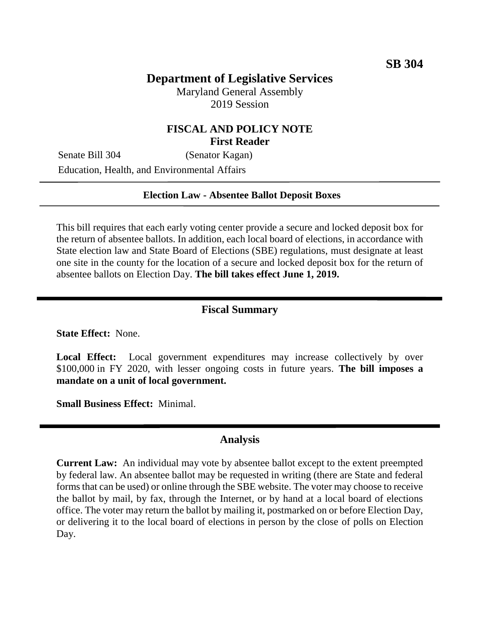# **Department of Legislative Services**

Maryland General Assembly 2019 Session

### **FISCAL AND POLICY NOTE First Reader**

Senate Bill 304 (Senator Kagan) Education, Health, and Environmental Affairs

#### **Election Law - Absentee Ballot Deposit Boxes**

This bill requires that each early voting center provide a secure and locked deposit box for the return of absentee ballots. In addition, each local board of elections, in accordance with State election law and State Board of Elections (SBE) regulations, must designate at least one site in the county for the location of a secure and locked deposit box for the return of absentee ballots on Election Day. **The bill takes effect June 1, 2019.**

### **Fiscal Summary**

**State Effect:** None.

Local Effect: Local government expenditures may increase collectively by over \$100,000 in FY 2020, with lesser ongoing costs in future years. **The bill imposes a mandate on a unit of local government.**

**Small Business Effect:** Minimal.

#### **Analysis**

**Current Law:** An individual may vote by absentee ballot except to the extent preempted by federal law. An absentee ballot may be requested in writing (there are State and federal forms that can be used) or online through the SBE website. The voter may choose to receive the ballot by mail, by fax, through the Internet, or by hand at a local board of elections office. The voter may return the ballot by mailing it, postmarked on or before Election Day, or delivering it to the local board of elections in person by the close of polls on Election Day.